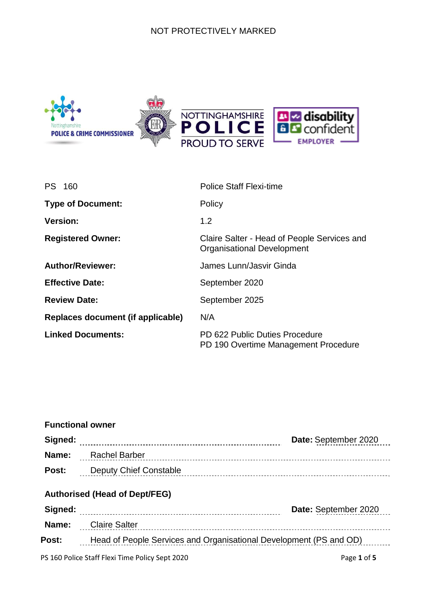#### NOT PROTECTIVELY MARKED



| PS 160                            | Police Staff Flexi-time                                                          |
|-----------------------------------|----------------------------------------------------------------------------------|
| <b>Type of Document:</b>          | Policy                                                                           |
| <b>Version:</b>                   | 1.2                                                                              |
| <b>Registered Owner:</b>          | Claire Salter - Head of People Services and<br><b>Organisational Development</b> |
| <b>Author/Reviewer:</b>           | James Lunn/Jasvir Ginda                                                          |
| <b>Effective Date:</b>            | September 2020                                                                   |
| <b>Review Date:</b>               | September 2025                                                                   |
| Replaces document (if applicable) | N/A                                                                              |
| <b>Linked Documents:</b>          | PD 622 Public Duties Procedure<br>PD 190 Overtime Management Procedure           |

| <b>Functional owner</b> |                                                                    |                      |
|-------------------------|--------------------------------------------------------------------|----------------------|
|                         |                                                                    | Date: September 2020 |
| Name:                   | Rachel Barber                                                      |                      |
| Post:                   | Deputy Chief Constable                                             |                      |
| Signed:                 | <b>Authorised (Head of Dept/FEG)</b>                               | Date: September 2020 |
| Name:                   | Claire Salter                                                      |                      |
| Post:                   | Head of People Services and Organisational Development (PS and OD) |                      |
|                         | PS 160 Police Staff Flexi Time Policy Sept 2020                    | Page 1 of 5          |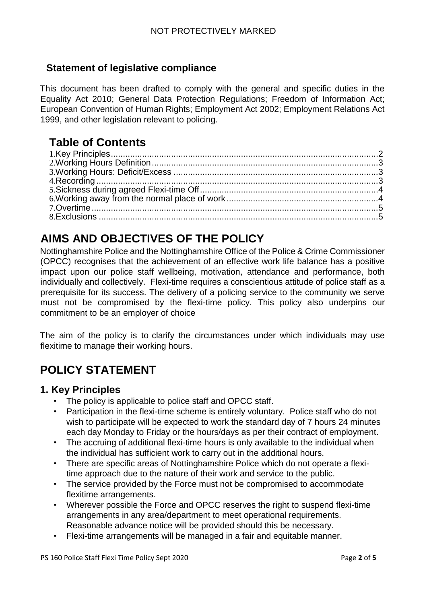## **Statement of legislative compliance**

This document has been drafted to comply with the general and specific duties in the Equality Act 2010; General Data Protection Regulations; Freedom of Information Act; European Convention of Human Rights; Employment Act 2002; Employment Relations Act 1999, and other legislation relevant to policing.

# **Table of Contents**

# **AIMS AND OBJECTIVES OF THE POLICY**

Nottinghamshire Police and the Nottinghamshire Office of the Police & Crime Commissioner (OPCC) recognises that the achievement of an effective work life balance has a positive impact upon our police staff wellbeing, motivation, attendance and performance, both individually and collectively. Flexi-time requires a conscientious attitude of police staff as a prerequisite for its success. The delivery of a policing service to the community we serve must not be compromised by the flexi-time policy. This policy also underpins our commitment to be an employer of choice

The aim of the policy is to clarify the circumstances under which individuals may use flexitime to manage their working hours.

# **POLICY STATEMENT**

#### <span id="page-1-0"></span>**1. Key Principles**

- The policy is applicable to police staff and OPCC staff.
- Participation in the flexi-time scheme is entirely voluntary. Police staff who do not wish to participate will be expected to work the standard day of 7 hours 24 minutes each day Monday to Friday or the hours/days as per their contract of employment.
- The accruing of additional flexi-time hours is only available to the individual when the individual has sufficient work to carry out in the additional hours.
- There are specific areas of Nottinghamshire Police which do not operate a flexitime approach due to the nature of their work and service to the public.
- The service provided by the Force must not be compromised to accommodate flexitime arrangements.
- Wherever possible the Force and OPCC reserves the right to suspend flexi-time arrangements in any area/department to meet operational requirements. Reasonable advance notice will be provided should this be necessary.
- Flexi-time arrangements will be managed in a fair and equitable manner.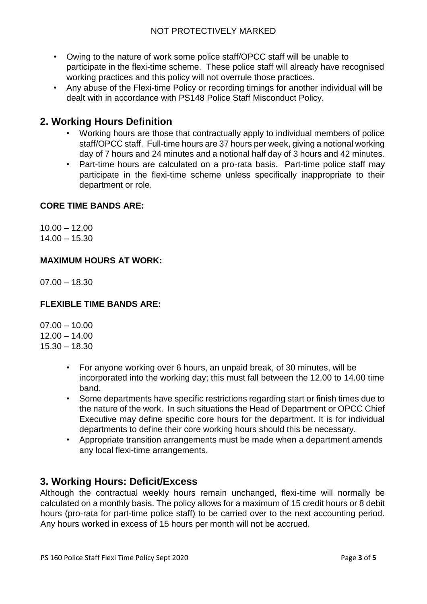- Owing to the nature of work some police staff/OPCC staff will be unable to participate in the flexi-time scheme. These police staff will already have recognised working practices and this policy will not overrule those practices.
- Any abuse of the Flexi-time Policy or recording timings for another individual will be dealt with in accordance with PS148 Police Staff Misconduct Policy.

#### <span id="page-2-0"></span>**2. Working Hours Definition**

- Working hours are those that contractually apply to individual members of police staff/OPCC staff. Full-time hours are 37 hours per week, giving a notional working day of 7 hours and 24 minutes and a notional half day of 3 hours and 42 minutes.
- Part-time hours are calculated on a pro-rata basis. Part-time police staff may participate in the flexi-time scheme unless specifically inappropriate to their department or role.

#### **CORE TIME BANDS ARE:**

 $10.00 - 12.00$  $14.00 - 15.30$ 

#### **MAXIMUM HOURS AT WORK:**

 $07.00 - 18.30$ 

#### **FLEXIBLE TIME BANDS ARE:**

 $07.00 - 10.00$  $12.00 - 14.00$ 15.30 – 18.30

- For anyone working over 6 hours, an unpaid break, of 30 minutes, will be incorporated into the working day; this must fall between the 12.00 to 14.00 time band.
- Some departments have specific restrictions regarding start or finish times due to the nature of the work. In such situations the Head of Department or OPCC Chief Executive may define specific core hours for the department. It is for individual departments to define their core working hours should this be necessary.
- Appropriate transition arrangements must be made when a department amends any local flexi-time arrangements.

#### <span id="page-2-1"></span>**3. Working Hours: Deficit/Excess**

Although the contractual weekly hours remain unchanged, flexi-time will normally be calculated on a monthly basis. The policy allows for a maximum of 15 credit hours or 8 debit hours (pro-rata for part-time police staff) to be carried over to the next accounting period. Any hours worked in excess of 15 hours per month will not be accrued.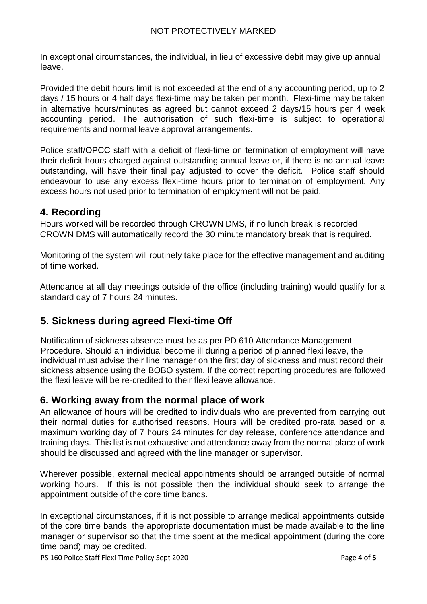In exceptional circumstances, the individual, in lieu of excessive debit may give up annual leave.

Provided the debit hours limit is not exceeded at the end of any accounting period, up to 2 days / 15 hours or 4 half days flexi-time may be taken per month. Flexi-time may be taken in alternative hours/minutes as agreed but cannot exceed 2 days/15 hours per 4 week accounting period. The authorisation of such flexi-time is subject to operational requirements and normal leave approval arrangements.

Police staff/OPCC staff with a deficit of flexi-time on termination of employment will have their deficit hours charged against outstanding annual leave or, if there is no annual leave outstanding, will have their final pay adjusted to cover the deficit. Police staff should endeavour to use any excess flexi-time hours prior to termination of employment. Any excess hours not used prior to termination of employment will not be paid.

### **4. Recording**

Hours worked will be recorded through CROWN DMS, if no lunch break is recorded CROWN DMS will automatically record the 30 minute mandatory break that is required.

Monitoring of the system will routinely take place for the effective management and auditing of time worked.

Attendance at all day meetings outside of the office (including training) would qualify for a standard day of 7 hours 24 minutes.

## <span id="page-3-0"></span>**5. Sickness during agreed Flexi-time Off**

Notification of sickness absence must be as per PD 610 Attendance Management Procedure. Should an individual become ill during a period of planned flexi leave, the individual must advise their line manager on the first day of sickness and must record their sickness absence using the BOBO system. If the correct reporting procedures are followed the flexi leave will be re-credited to their flexi leave allowance.

#### <span id="page-3-1"></span>**6. Working away from the normal place of work**

An allowance of hours will be credited to individuals who are prevented from carrying out their normal duties for authorised reasons. Hours will be credited pro-rata based on a maximum working day of 7 hours 24 minutes for day release, conference attendance and training days. This list is not exhaustive and attendance away from the normal place of work should be discussed and agreed with the line manager or supervisor.

Wherever possible, external medical appointments should be arranged outside of normal working hours. If this is not possible then the individual should seek to arrange the appointment outside of the core time bands.

In exceptional circumstances, if it is not possible to arrange medical appointments outside of the core time bands, the appropriate documentation must be made available to the line manager or supervisor so that the time spent at the medical appointment (during the core time band) may be credited.

PS 160 Police Staff Flexi Time Policy Sept 2020 **Page 4** of **5** Page 4 of **5**